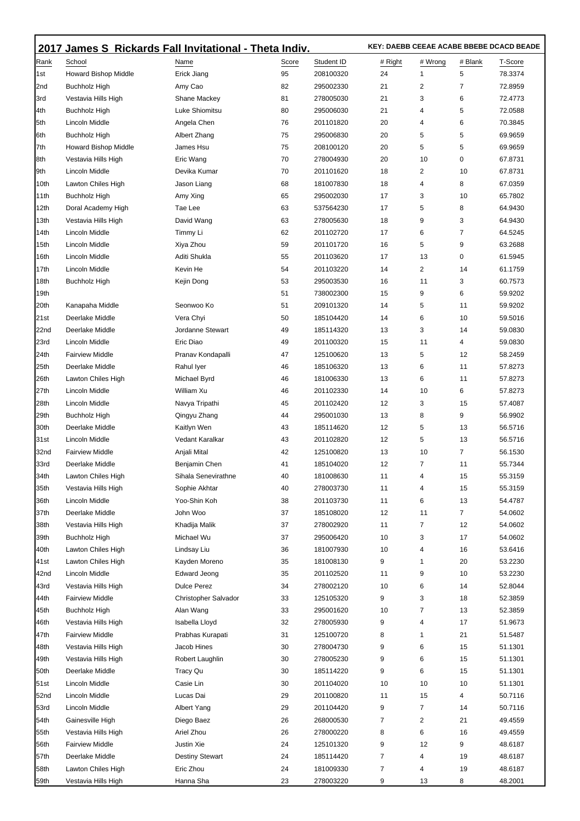|      | 2017 James S Rickards Fall Invitational - Theta Indiv. |                        |       |            | KEY: DAEBB CEEAE ACABE BBEBE DCACD BEADE |                |         |         |  |
|------|--------------------------------------------------------|------------------------|-------|------------|------------------------------------------|----------------|---------|---------|--|
| Rank | School                                                 | Name                   | Score | Student ID | # Right                                  | # Wrong        | # Blank | T-Score |  |
| 1st  | <b>Howard Bishop Middle</b>                            | Erick Jiang            | 95    | 208100320  | 24                                       | 1              | 5       | 78.3374 |  |
| 2nd  | <b>Buchholz High</b>                                   | Amy Cao                | 82    | 295002330  | 21                                       | 2              | 7       | 72.8959 |  |
| 3rd  | Vestavia Hills High                                    | Shane Mackey           | 81    | 278005030  | 21                                       | 3              | 6       | 72.4773 |  |
| 4th  | Buchholz High                                          | Luke Shiomitsu         | 80    | 295006030  | 21                                       | 4              | 5       | 72.0588 |  |
| 5th  | Lincoln Middle                                         | Angela Chen            | 76    | 201101820  | 20                                       | 4              | 6       | 70.3845 |  |
| 6th  | <b>Buchholz High</b>                                   | Albert Zhang           | 75    | 295006830  | 20                                       | 5              | 5       | 69.9659 |  |
| 7th  | <b>Howard Bishop Middle</b>                            | James Hsu              | 75    | 208100120  | 20                                       | 5              | 5       | 69.9659 |  |
| 8th  | Vestavia Hills High                                    | Eric Wang              | 70    | 278004930  | 20                                       | 10             | 0       | 67.8731 |  |
| 9th  | Lincoln Middle                                         | Devika Kumar           | 70    | 201101620  | 18                                       | 2              | 10      | 67.8731 |  |
| 10th | Lawton Chiles High                                     | Jason Liang            | 68    | 181007830  | 18                                       | 4              | 8       | 67.0359 |  |
| 11th | Buchholz High                                          | Amy Xing               | 65    | 295002030  | 17                                       | 3              | 10      | 65.7802 |  |
| 12th | Doral Academy High                                     | Tae Lee                | 63    | 537564230  | 17                                       | 5              | 8       | 64.9430 |  |
| 13th | Vestavia Hills High                                    | David Wang             | 63    | 278005630  | 18                                       | 9              | 3       | 64.9430 |  |
| 14th | Lincoln Middle                                         | Timmy Li               | 62    | 201102720  | 17                                       | 6              | 7       | 64.5245 |  |
| 15th | Lincoln Middle                                         | Xiya Zhou              | 59    | 201101720  | 16                                       | 5              | 9       | 63.2688 |  |
| 16th | Lincoln Middle                                         | Aditi Shukla           | 55    | 201103620  | 17                                       | 13             | 0       | 61.5945 |  |
| 17th | Lincoln Middle                                         | Kevin He               | 54    | 201103220  | 14                                       | $\overline{2}$ | 14      | 61.1759 |  |
| 18th | <b>Buchholz High</b>                                   | Kejin Dong             | 53    | 295003530  | 16                                       | 11             | 3       | 60.7573 |  |
| 19th |                                                        |                        | 51    | 738002300  | 15                                       | 9              | 6       | 59.9202 |  |
| 20th | Kanapaha Middle                                        | Seonwoo Ko             | 51    | 209101320  | 14                                       | 5              | 11      | 59.9202 |  |
| 21st | Deerlake Middle                                        | Vera Chyi              | 50    | 185104420  | 14                                       | 6              | 10      | 59.5016 |  |
| 22nd | Deerlake Middle                                        | Jordanne Stewart       | 49    | 185114320  | 13                                       | 3              | 14      | 59.0830 |  |
| 23rd | Lincoln Middle                                         | Eric Diao              | 49    | 201100320  | 15                                       | 11             | 4       | 59.0830 |  |
| 24th | <b>Fairview Middle</b>                                 | Pranav Kondapalli      | 47    | 125100620  | 13                                       | 5              | 12      | 58.2459 |  |
| 25th | Deerlake Middle                                        | Rahul Iyer             | 46    | 185106320  | 13                                       | 6              | 11      | 57.8273 |  |
| 26th | Lawton Chiles High                                     | Michael Byrd           | 46    | 181006330  | 13                                       | 6              | 11      | 57.8273 |  |
| 27th | Lincoln Middle                                         | William Xu             | 46    | 201102330  | 14                                       | 10             | 6       | 57.8273 |  |
| 28th | Lincoln Middle                                         | Navya Tripathi         | 45    | 201102420  | 12                                       | 3              | 15      | 57.4087 |  |
| 29th | Buchholz High                                          | Qingyu Zhang           | 44    | 295001030  | 13                                       | 8              | 9       | 56.9902 |  |
| 30th | Deerlake Middle                                        | Kaitlyn Wen            | 43    | 185114620  | 12                                       | 5              | 13      | 56.5716 |  |
| 31st | <b>Lincoln Middle</b>                                  | Vedant Karalkar        | 43    | 201102820  | 12                                       | 5              | 13      | 56.5716 |  |
| 32nd | <b>Fairview Middle</b>                                 | Anjali Mital           | 42    | 125100820  | 13                                       | 10             | 7       | 56.1530 |  |
| 33rd | Deerlake Middle                                        | Benjamin Chen          | 41    | 185104020  | 12                                       | 7              | 11      | 55.7344 |  |
| 34th | Lawton Chiles High                                     | Sihala Senevirathne    | 40    | 181008630  | 11                                       | 4              | 15      | 55.3159 |  |
| 35th | Vestavia Hills High                                    | Sophie Akhtar          | 40    | 278003730  | 11                                       | 4              | 15      | 55.3159 |  |
| 36th | Lincoln Middle                                         | Yoo-Shin Koh           | 38    | 201103730  | 11                                       | 6              | 13      | 54.4787 |  |
| 37th | Deerlake Middle                                        | John Woo               | 37    | 185108020  | 12                                       | 11             | 7       | 54.0602 |  |
| 38th | Vestavia Hills High                                    | Khadija Malik          | 37    | 278002920  | 11                                       | 7              | 12      | 54.0602 |  |
| 39th | <b>Buchholz High</b>                                   | Michael Wu             | 37    | 295006420  | 10                                       | 3              | 17      | 54.0602 |  |
| 40th | Lawton Chiles High                                     | Lindsay Liu            | 36    | 181007930  | 10                                       | 4              | 16      | 53.6416 |  |
| 41st | Lawton Chiles High                                     | Kayden Moreno          | 35    | 181008130  | 9                                        | 1              | 20      | 53.2230 |  |
| 42nd | Lincoln Middle                                         | Edward Jeong           | 35    | 201102520  | 11                                       | 9              | 10      | 53.2230 |  |
| 43rd | Vestavia Hills High                                    | <b>Dulce Perez</b>     | 34    | 278002120  | 10                                       | 6              | 14      | 52.8044 |  |
| 44th | <b>Fairview Middle</b>                                 | Christopher Salvador   | 33    | 125105320  | 9                                        | 3              | 18      | 52.3859 |  |
| 45th | <b>Buchholz High</b>                                   | Alan Wang              | 33    | 295001620  | 10                                       | 7              | 13      | 52.3859 |  |
| 46th | Vestavia Hills High                                    | Isabella Lloyd         | 32    | 278005930  | 9                                        | 4              | 17      | 51.9673 |  |
| 47th | <b>Fairview Middle</b>                                 | Prabhas Kurapati       | 31    | 125100720  | 8                                        | 1              | 21      | 51.5487 |  |
| 48th | Vestavia Hills High                                    | Jacob Hines            | 30    | 278004730  | 9                                        | 6              | 15      | 51.1301 |  |
| 49th | Vestavia Hills High                                    | Robert Laughlin        | 30    | 278005230  | 9                                        | 6              | 15      | 51.1301 |  |
| 50th | Deerlake Middle                                        | Tracy Qu               | 30    | 185114220  | 9                                        | 6              | 15      | 51.1301 |  |
| 51st | Lincoln Middle                                         | Casie Lin              | 30    | 201104020  | 10                                       | 10             | 10      | 51.1301 |  |
| 52nd | Lincoln Middle                                         | Lucas Dai              | 29    | 201100820  | 11                                       | 15             | 4       | 50.7116 |  |
| 53rd | Lincoln Middle                                         | Albert Yang            | 29    | 201104420  | 9                                        | 7              | 14      | 50.7116 |  |
| 54th | Gainesville High                                       | Diego Baez             | 26    | 268000530  | 7                                        | 2              | 21      | 49.4559 |  |
| 55th | Vestavia Hills High                                    | Ariel Zhou             | 26    | 278000220  | 8                                        | 6              | 16      | 49.4559 |  |
| 56th | <b>Fairview Middle</b>                                 | Justin Xie             | 24    | 125101320  | 9                                        | 12             | 9       | 48.6187 |  |
| 57th | Deerlake Middle                                        | <b>Destiny Stewart</b> | 24    | 185114420  | 7                                        | 4              | 19      | 48.6187 |  |
| 58th | Lawton Chiles High                                     | Eric Zhou              | 24    | 181009330  | $\overline{7}$                           | 4              | 19      | 48.6187 |  |
| 59th | Vestavia Hills High                                    | Hanna Sha              | 23    | 278003220  | 9                                        | 13             | 8       | 48.2001 |  |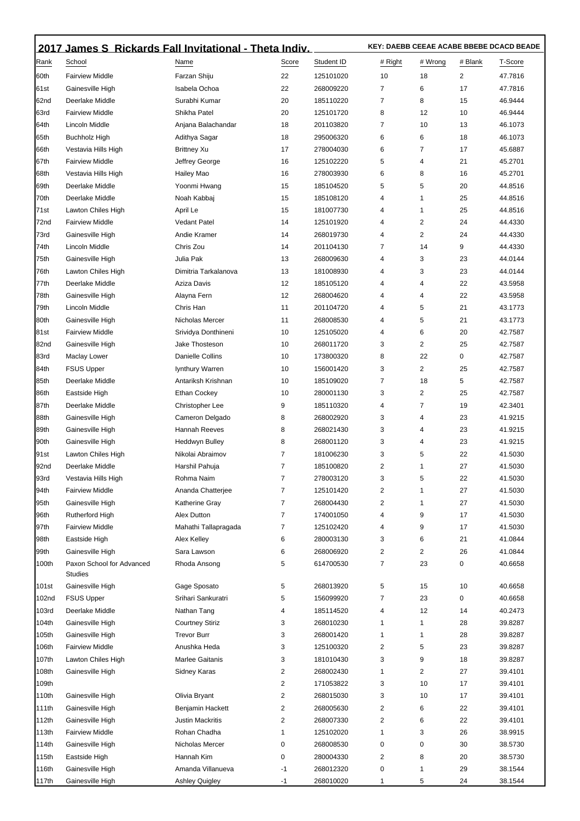|                  | 2017 James S Rickards Fall Invitational - Theta Indiv. |                         |                         |            | KEY: DAEBB CEEAE ACABE BBEBE DCACD BEADE |                |                |         |  |
|------------------|--------------------------------------------------------|-------------------------|-------------------------|------------|------------------------------------------|----------------|----------------|---------|--|
| Rank             | School                                                 | Name                    | Score                   | Student ID | # Right                                  | # Wrong        | # Blank        | T-Score |  |
| 60th             | <b>Fairview Middle</b>                                 | Farzan Shiju            | 22                      | 125101020  | 10                                       | 18             | $\overline{2}$ | 47.7816 |  |
| 61st             | Gainesville High                                       | Isabela Ochoa           | 22                      | 268009220  | 7                                        | 6              | 17             | 47.7816 |  |
| 62nd             | Deerlake Middle                                        | Surabhi Kumar           | 20                      | 185110220  | $\overline{7}$                           | 8              | 15             | 46.9444 |  |
| 63rd             | <b>Fairview Middle</b>                                 | Shikha Patel            | 20                      | 125101720  | 8                                        | 12             | 10             | 46.9444 |  |
| <b>64th</b>      | Lincoln Middle                                         | Anjana Balachandar      | 18                      | 201103820  | 7                                        | 10             | 13             | 46.1073 |  |
| 65th             | <b>Buchholz High</b>                                   | Adithya Sagar           | 18                      | 295006320  | 6                                        | 6              | 18             | 46.1073 |  |
| 66th             | Vestavia Hills High                                    | Brittney Xu             | 17                      | 278004030  | 6                                        | 7              | 17             | 45.6887 |  |
| 67th             | <b>Fairview Middle</b>                                 | Jeffrey George          | 16                      | 125102220  | 5                                        | 4              | 21             | 45.2701 |  |
| 68th             | Vestavia Hills High                                    | Hailey Mao              | 16                      | 278003930  | 6                                        | 8              | 16             | 45.2701 |  |
| 69th             | Deerlake Middle                                        | Yoonmi Hwang            | 15                      | 185104520  | 5                                        | 5              | 20             | 44.8516 |  |
| 70th             | Deerlake Middle                                        | Noah Kabbaj             | 15                      | 185108120  | $\overline{4}$                           | 1              | 25             | 44.8516 |  |
| 71st             | Lawton Chiles High                                     | April Le                | 15                      | 181007730  | 4                                        | 1              | 25             | 44.8516 |  |
| 72nd             | <b>Fairview Middle</b>                                 | <b>Vedant Patel</b>     | 14                      | 125101920  | 4                                        | 2              | 24             | 44.4330 |  |
| 73rd             | Gainesville High                                       | Andie Kramer            | 14                      | 268019730  | $\overline{4}$                           | 2              | 24             | 44.4330 |  |
| 74th             | Lincoln Middle                                         | Chris Zou               | 14                      | 201104130  | $\overline{7}$                           | 14             | 9              | 44.4330 |  |
| 75th             | Gainesville High                                       | Julia Pak               | 13                      | 268009630  | 4                                        | 3              | 23             | 44.0144 |  |
| 76th             | Lawton Chiles High                                     | Dimitria Tarkalanova    | 13                      | 181008930  | $\overline{4}$                           | 3              | 23             | 44.0144 |  |
| 77th             | Deerlake Middle                                        | Aziza Davis             | 12                      | 185105120  | $\overline{4}$                           | 4              | 22             | 43.5958 |  |
| 78th             | Gainesville High                                       | Alayna Fern             | 12                      | 268004620  | 4                                        | 4              | 22             | 43.5958 |  |
| 79th             | Lincoln Middle                                         | Chris Han               | 11                      | 201104720  | $\overline{4}$                           | 5              | 21             | 43.1773 |  |
| 80th             | Gainesville High                                       | Nicholas Mercer         | 11                      | 268008530  | 4                                        | 5              | 21             | 43.1773 |  |
| 181st            | <b>Fairview Middle</b>                                 | Srividya Donthineni     | 10                      | 125105020  | 4                                        | 6              | 20             | 42.7587 |  |
| 82nd             | Gainesville High                                       | Jake Thosteson          | 10                      | 268011720  | 3                                        | 2              | 25             | 42.7587 |  |
| 83rd             | Maclay Lower                                           | Danielle Collins        | 10                      | 173800320  | 8                                        | 22             | 0              | 42.7587 |  |
| 84th             | <b>FSUS Upper</b>                                      | lynthury Warren         | 10                      | 156001420  | 3                                        | $\overline{2}$ | 25             | 42.7587 |  |
| 85th             | Deerlake Middle                                        | Antariksh Krishnan      | 10                      | 185109020  | $\overline{7}$                           | 18             | 5              | 42.7587 |  |
| 86th             | Eastside High                                          | Ethan Cockey            | 10                      | 280001130  | 3                                        | 2              | 25             | 42.7587 |  |
| 187th            | Deerlake Middle                                        | Christopher Lee         | 9                       | 185110320  | $\overline{4}$                           | 7              | 19             | 42.3401 |  |
| 88th             | Gainesville High                                       | Cameron Delgado         | 8                       | 268002920  | 3                                        | 4              | 23             | 41.9215 |  |
| 89th             | Gainesville High                                       | Hannah Reeves           | 8                       | 268021430  | 3                                        | 4              | 23             | 41.9215 |  |
| 90th             | Gainesville High                                       | Heddwyn Bulley          | 8                       | 268001120  | 3                                        | 4              | 23             | 41.9215 |  |
| 91 <sub>st</sub> | Lawton Chiles High                                     | Nikolai Abraimov        | 7                       | 181006230  | 3                                        | 5              | 22             | 41.5030 |  |
| 92nd             | Deerlake Middle                                        | Harshil Pahuja          | 7                       | 185100820  | $\overline{2}$                           | 1              | 27             | 41.5030 |  |
| 93rd             | Vestavia Hills High                                    | Rohma Naim              | 7                       | 278003120  | 3                                        | 5              | 22             | 41.5030 |  |
| 94th             | <b>Fairview Middle</b>                                 | Ananda Chatterjee       | 7                       | 125101420  | 2                                        | 1              | 27             | 41.5030 |  |
| 95th             | Gainesville High                                       | Katherine Gray          | 7                       | 268004430  | $\overline{c}$                           | 1              | 27             | 41.5030 |  |
| 96th             | <b>Rutherford High</b>                                 | Alex Dutton             | 7                       | 174001050  | 4                                        | 9              | 17             | 41.5030 |  |
| 97th             | <b>Fairview Middle</b>                                 | Mahathi Tallapragada    | 7                       | 125102420  | 4                                        | 9              | 17             | 41.5030 |  |
| 98th             | Eastside High                                          | Alex Kelley             | 6                       | 280003130  | 3                                        | 6              | 21             | 41.0844 |  |
| 99th             | Gainesville High                                       | Sara Lawson             | 6                       | 268006920  | $\sqrt{2}$                               | 2              | 26             | 41.0844 |  |
| 100th            | Paxon School for Advanced<br><b>Studies</b>            | Rhoda Ansong            | 5                       | 614700530  | $\overline{7}$                           | 23             | 0              | 40.6658 |  |
| 101st            | Gainesville High                                       | Gage Sposato            | 5                       | 268013920  | $\sqrt{5}$                               | 15             | 10             | 40.6658 |  |
| 102nd            | <b>FSUS Upper</b>                                      | Srihari Sankuratri      | 5                       | 156099920  | $\overline{7}$                           | 23             | 0              | 40.6658 |  |
| 103rd            | Deerlake Middle                                        | Nathan Tang             | 4                       | 185114520  | 4                                        | 12             | 14             | 40.2473 |  |
| 104th            | Gainesville High                                       | <b>Courtney Stiriz</b>  | 3                       | 268010230  | $\mathbf{1}$                             | 1              | 28             | 39.8287 |  |
| 105th            | Gainesville High                                       | <b>Trevor Burr</b>      | 3                       | 268001420  | $\mathbf{1}$                             | 1              | 28             | 39.8287 |  |
| 106th            | <b>Fairview Middle</b>                                 | Anushka Heda            | 3                       | 125100320  | $\overline{2}$                           | 5              | 23             | 39.8287 |  |
| 107th            | Lawton Chiles High                                     | Marlee Gaitanis         | 3                       | 181010430  | 3                                        | 9              | 18             | 39.8287 |  |
| 108th            | Gainesville High                                       | Sidney Karas            | 2                       | 268002430  | $\mathbf{1}$                             | $\overline{2}$ | 27             | 39.4101 |  |
| 109th            |                                                        |                         | 2                       | 171053822  | 3                                        | 10             | 17             | 39.4101 |  |
| 110th            | Gainesville High                                       | Olivia Bryant           | 2                       | 268015030  | 3                                        | 10             | 17             | 39.4101 |  |
| 111th            | Gainesville High                                       | Benjamin Hackett        | 2                       | 268005630  | $\overline{2}$                           | 6              | 22             | 39.4101 |  |
| 112th            | Gainesville High                                       | <b>Justin Mackritis</b> | $\overline{\mathbf{c}}$ | 268007330  | $\overline{2}$                           | 6              | 22             | 39.4101 |  |
| 113th            | <b>Fairview Middle</b>                                 | Rohan Chadha            | 1                       | 125102020  | $\mathbf{1}$                             | 3              | 26             | 38.9915 |  |
| 114th            | Gainesville High                                       | Nicholas Mercer         | 0                       | 268008530  | 0                                        | 0              | 30             | 38.5730 |  |
| 115th            | Eastside High                                          | Hannah Kim              | 0                       | 280004330  | $\overline{2}$                           | 8              | 20             | 38.5730 |  |
| 116th            | Gainesville High                                       | Amanda Villanueva       | -1                      | 268012320  | 0                                        | 1              | 29             | 38.1544 |  |
| 117th            | Gainesville High                                       | Ashley Quigley          | -1                      | 268010020  | 1                                        | 5              | 24             | 38.1544 |  |